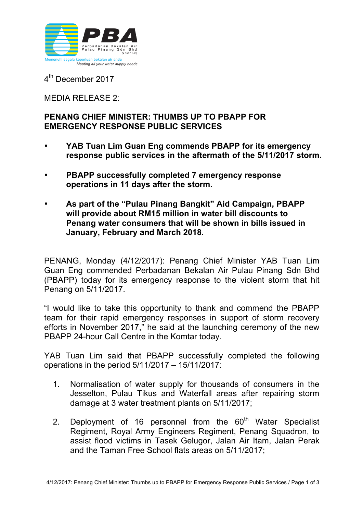

4<sup>th</sup> December 2017

MEDIA RELEASE 2:

## **PENANG CHIEF MINISTER: THUMBS UP TO PBAPP FOR EMERGENCY RESPONSE PUBLIC SERVICES**

- **YAB Tuan Lim Guan Eng commends PBAPP for its emergency response public services in the aftermath of the 5/11/2017 storm.**
- **PBAPP successfully completed 7 emergency response operations in 11 days after the storm.**
- **As part of the "Pulau Pinang Bangkit" Aid Campaign, PBAPP will provide about RM15 million in water bill discounts to Penang water consumers that will be shown in bills issued in January, February and March 2018.**

PENANG, Monday (4/12/2017): Penang Chief Minister YAB Tuan Lim Guan Eng commended Perbadanan Bekalan Air Pulau Pinang Sdn Bhd (PBAPP) today for its emergency response to the violent storm that hit Penang on 5/11/2017.

"I would like to take this opportunity to thank and commend the PBAPP team for their rapid emergency responses in support of storm recovery efforts in November 2017," he said at the launching ceremony of the new PBAPP 24-hour Call Centre in the Komtar today.

YAB Tuan Lim said that PBAPP successfully completed the following operations in the period 5/11/2017 – 15/11/2017:

- 1. Normalisation of water supply for thousands of consumers in the Jesselton, Pulau Tikus and Waterfall areas after repairing storm damage at 3 water treatment plants on 5/11/2017;
- 2. Deployment of 16 personnel from the  $60<sup>th</sup>$  Water Specialist Regiment, Royal Army Engineers Regiment, Penang Squadron, to assist flood victims in Tasek Gelugor, Jalan Air Itam, Jalan Perak and the Taman Free School flats areas on 5/11/2017;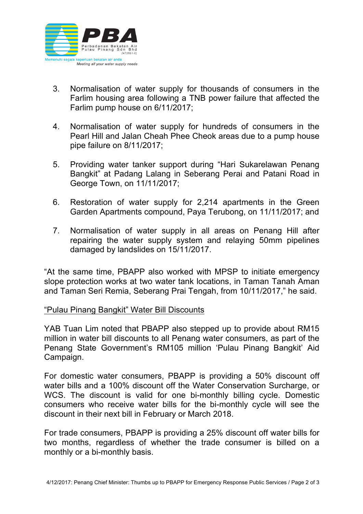

- 3. Normalisation of water supply for thousands of consumers in the Farlim housing area following a TNB power failure that affected the Farlim pump house on 6/11/2017;
- 4. Normalisation of water supply for hundreds of consumers in the Pearl Hill and Jalan Cheah Phee Cheok areas due to a pump house pipe failure on 8/11/2017;
- 5. Providing water tanker support during "Hari Sukarelawan Penang Bangkit" at Padang Lalang in Seberang Perai and Patani Road in George Town, on 11/11/2017;
- 6. Restoration of water supply for 2,214 apartments in the Green Garden Apartments compound, Paya Terubong, on 11/11/2017; and
- 7. Normalisation of water supply in all areas on Penang Hill after repairing the water supply system and relaying 50mm pipelines damaged by landslides on 15/11/2017.

"At the same time, PBAPP also worked with MPSP to initiate emergency slope protection works at two water tank locations, in Taman Tanah Aman and Taman Seri Remia, Seberang Prai Tengah, from 10/11/2017," he said.

## "Pulau Pinang Bangkit" Water Bill Discounts

YAB Tuan Lim noted that PBAPP also stepped up to provide about RM15 million in water bill discounts to all Penang water consumers, as part of the Penang State Government's RM105 million 'Pulau Pinang Bangkit' Aid Campaign.

For domestic water consumers, PBAPP is providing a 50% discount off water bills and a 100% discount off the Water Conservation Surcharge, or WCS. The discount is valid for one bi-monthly billing cycle. Domestic consumers who receive water bills for the bi-monthly cycle will see the discount in their next bill in February or March 2018.

For trade consumers, PBAPP is providing a 25% discount off water bills for two months, regardless of whether the trade consumer is billed on a monthly or a bi-monthly basis.